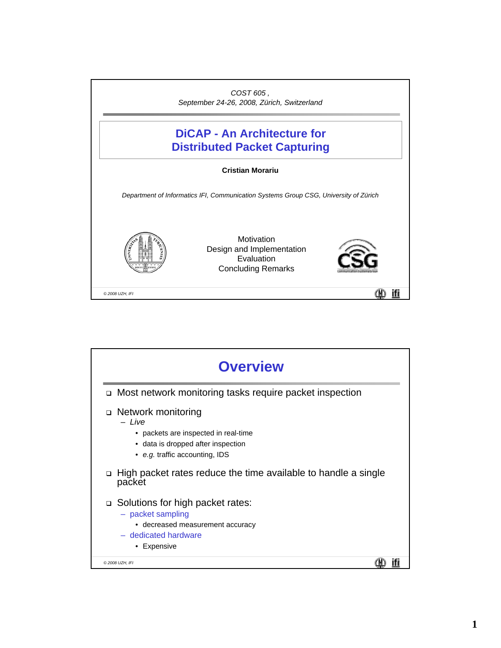

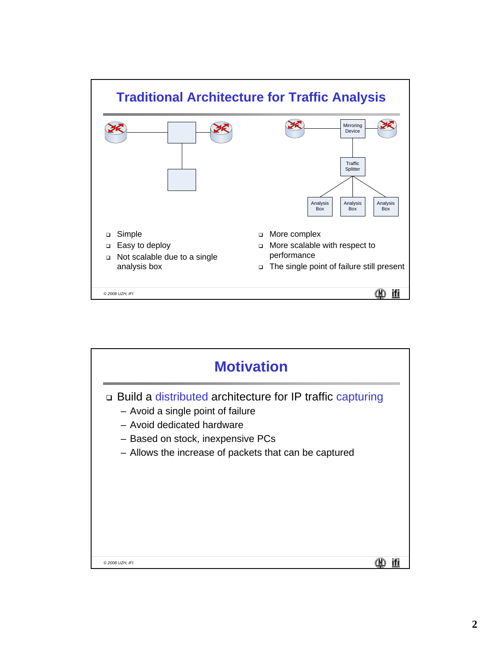

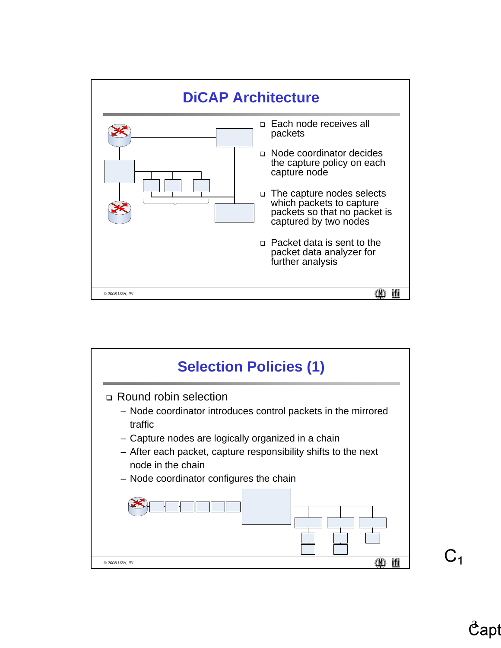



 $C<sub>1</sub>$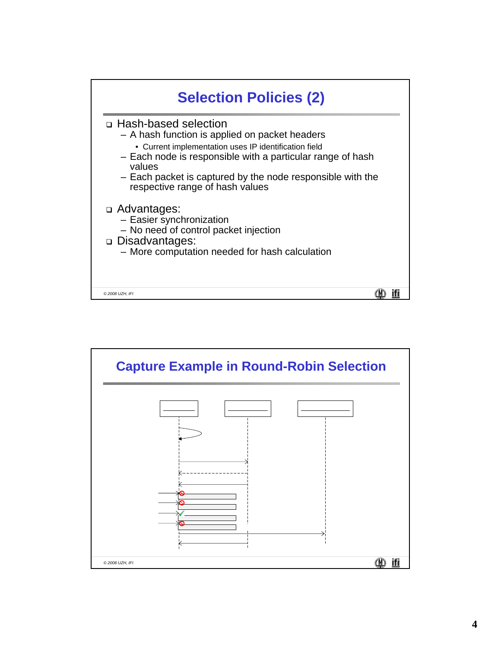

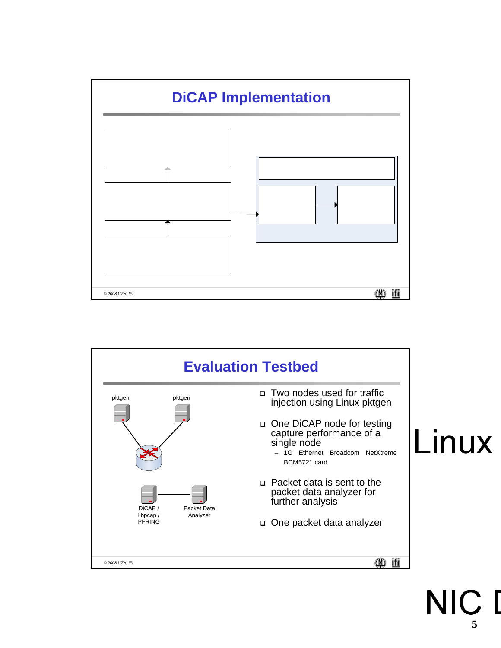



## **NIC 5**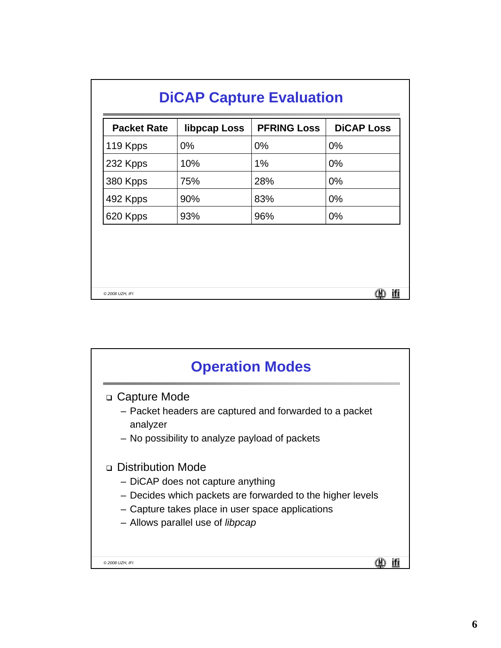| <b>DiCAP Capture Evaluation</b> |              |                    |                   |
|---------------------------------|--------------|--------------------|-------------------|
| <b>Packet Rate</b>              | libpcap Loss | <b>PFRING Loss</b> | <b>DICAP Loss</b> |
| 119 Kpps                        | $0\%$        | $0\%$              | $0\%$             |
| 232 Kpps                        | 10%          | 1%                 | $0\%$             |
| 380 Kpps                        | 75%          | 28%                | $0\%$             |
| 492 Kpps                        | 90%          | 83%                | $0\%$             |
| 620 Kpps                        | 93%          | 96%                | $0\%$             |
|                                 |              |                    |                   |
| © 2008 UZH, IFI                 |              |                    | ifi               |

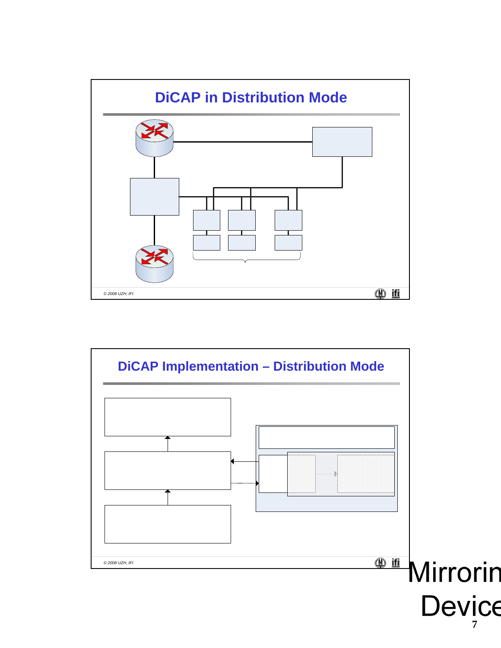

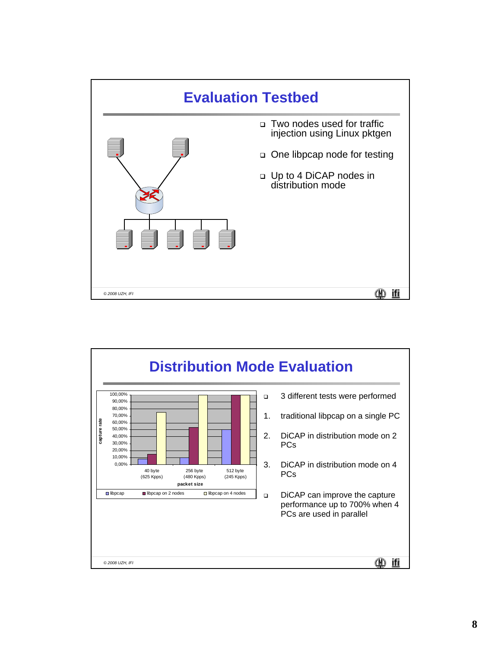